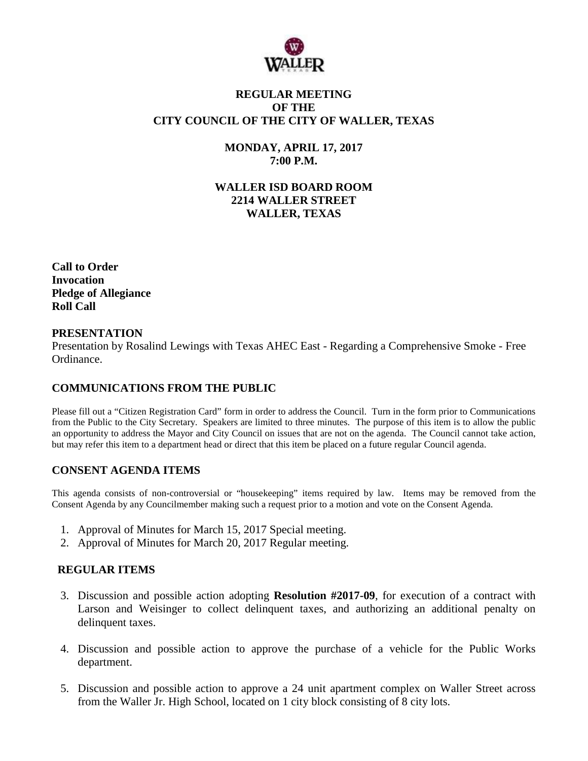

# **REGULAR MEETING OF THE CITY COUNCIL OF THE CITY OF WALLER, TEXAS**

**MONDAY, APRIL 17, 2017 7:00 P.M.**

**WALLER ISD BOARD ROOM 2214 WALLER STREET WALLER, TEXAS**

**Call to Order Invocation Pledge of Allegiance Roll Call**

#### **PRESENTATION**

Presentation by Rosalind Lewings with Texas AHEC East - Regarding a Comprehensive Smoke - Free Ordinance.

## **COMMUNICATIONS FROM THE PUBLIC**

Please fill out a "Citizen Registration Card" form in order to address the Council. Turn in the form prior to Communications from the Public to the City Secretary. Speakers are limited to three minutes. The purpose of this item is to allow the public an opportunity to address the Mayor and City Council on issues that are not on the agenda. The Council cannot take action, but may refer this item to a department head or direct that this item be placed on a future regular Council agenda.

## **CONSENT AGENDA ITEMS**

This agenda consists of non-controversial or "housekeeping" items required by law. Items may be removed from the Consent Agenda by any Councilmember making such a request prior to a motion and vote on the Consent Agenda.

- 1. Approval of Minutes for March 15, 2017 Special meeting.
- 2. Approval of Minutes for March 20, 2017 Regular meeting.

#### **REGULAR ITEMS**

- 3. Discussion and possible action adopting **Resolution #2017-09**, for execution of a contract with Larson and Weisinger to collect delinquent taxes, and authorizing an additional penalty on delinquent taxes.
- 4. Discussion and possible action to approve the purchase of a vehicle for the Public Works department.
- 5. Discussion and possible action to approve a 24 unit apartment complex on Waller Street across from the Waller Jr. High School, located on 1 city block consisting of 8 city lots.